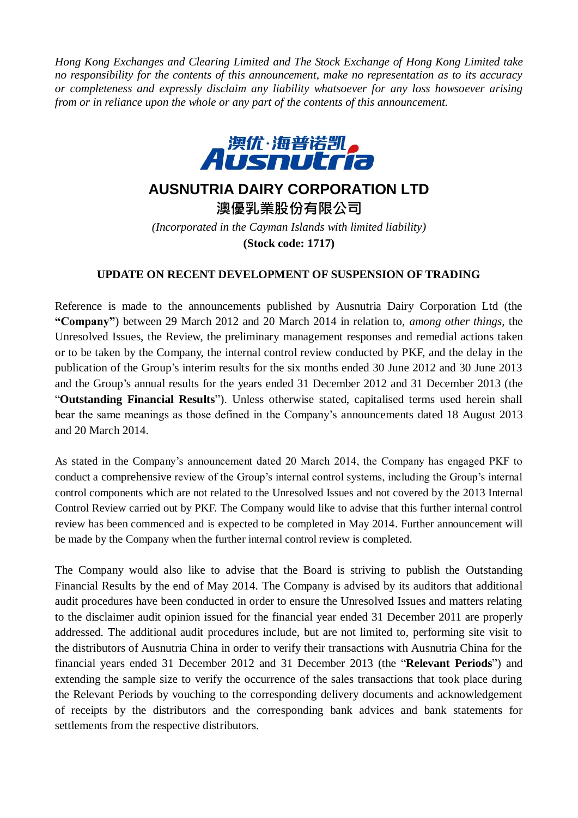*Hong Kong Exchanges and Clearing Limited and The Stock Exchange of Hong Kong Limited take no responsibility for the contents of this announcement, make no representation as to its accuracy or completeness and expressly disclaim any liability whatsoever for any loss howsoever arising from or in reliance upon the whole or any part of the contents of this announcement.*



## **AUSNUTRIA DAIRY CORPORATION LTD**

**澳優乳業股份有限公司** *(Incorporated in the Cayman Islands with limited liability)* **(Stock code: 1717)**

## **UPDATE ON RECENT DEVELOPMENT OF SUSPENSION OF TRADING**

Reference is made to the announcements published by Ausnutria Dairy Corporation Ltd (the **"Company"**) between 29 March 2012 and 20 March 2014 in relation to, *among other things,* the Unresolved Issues, the Review, the preliminary management responses and remedial actions taken or to be taken by the Company, the internal control review conducted by PKF, and the delay in the publication of the Group's interim results for the six months ended 30 June 2012 and 30 June 2013 and the Group's annual results for the years ended 31 December 2012 and 31 December 2013 (the "**Outstanding Financial Results**"). Unless otherwise stated, capitalised terms used herein shall bear the same meanings as those defined in the Company's announcements dated 18 August 2013 and 20 March 2014.

As stated in the Company's announcement dated 20 March 2014, the Company has engaged PKF to conduct a comprehensive review of the Group's internal control systems, including the Group's internal control components which are not related to the Unresolved Issues and not covered by the 2013 Internal Control Review carried out by PKF. The Company would like to advise that this further internal control review has been commenced and is expected to be completed in May 2014. Further announcement will be made by the Company when the further internal control review is completed.

The Company would also like to advise that the Board is striving to publish the Outstanding Financial Results by the end of May 2014. The Company is advised by its auditors that additional audit procedures have been conducted in order to ensure the Unresolved Issues and matters relating to the disclaimer audit opinion issued for the financial year ended 31 December 2011 are properly addressed. The additional audit procedures include, but are not limited to, performing site visit to the distributors of Ausnutria China in order to verify their transactions with Ausnutria China for the financial years ended 31 December 2012 and 31 December 2013 (the "**Relevant Periods**") and extending the sample size to verify the occurrence of the sales transactions that took place during the Relevant Periods by vouching to the corresponding delivery documents and acknowledgement of receipts by the distributors and the corresponding bank advices and bank statements for settlements from the respective distributors.